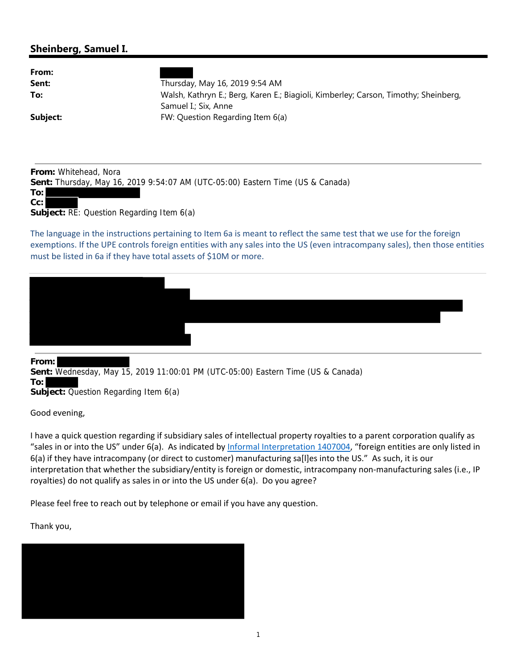## **Sheinberg, Samuel I.**

| From:    |                                                                                     |
|----------|-------------------------------------------------------------------------------------|
| Sent:    | Thursday, May 16, 2019 9:54 AM                                                      |
| To:      | Walsh, Kathryn E.; Berg, Karen E.; Biagioli, Kimberley; Carson, Timothy; Sheinberg, |
|          | Samuel I.; Six, Anne                                                                |
| Subject: | FW: Question Regarding Item 6(a)                                                    |

**From:** Whitehead, Nora **Sent:** Thursday, May 16, 2019 9:54:07 AM (UTC-05:00) Eastern Time (US & Canada)

**To: Cc:**

**Subject:** RE: Question Regarding Item 6(a)

The language in the instructions pertaining to Item 6a is meant to reflect the same test that we use for the foreign exemptions. If the UPE controls foreign entities with any sales into the US (even intracompany sales), then those entities must be listed in 6a if they have total assets of \$10M or more.



**From: Sent:** Wednesday, May 15, 2019 11:00:01 PM (UTC-05:00) Eastern Time (US & Canada) **To: Subject:** Question Regarding Item 6(a)

Good evening,

I have a quick question regarding if subsidiary sales of intellectual property royalties to a parent corporation qualify as "sales in or into the US" under 6(a). As indicated by Informal Interpretation 1407004, "foreign entities are only listed in 6(a) if they have intracompany (or direct to customer) manufacturing sa[l]es into the US." As such, it is our interpretation that whether the subsidiary/entity is foreign or domestic, intracompany non-manufacturing sales (i.e., IP royalties) do not qualify as sales in or into the US under 6(a). Do you agree?

Please feel free to reach out by telephone or email if you have any question.

Thank you,